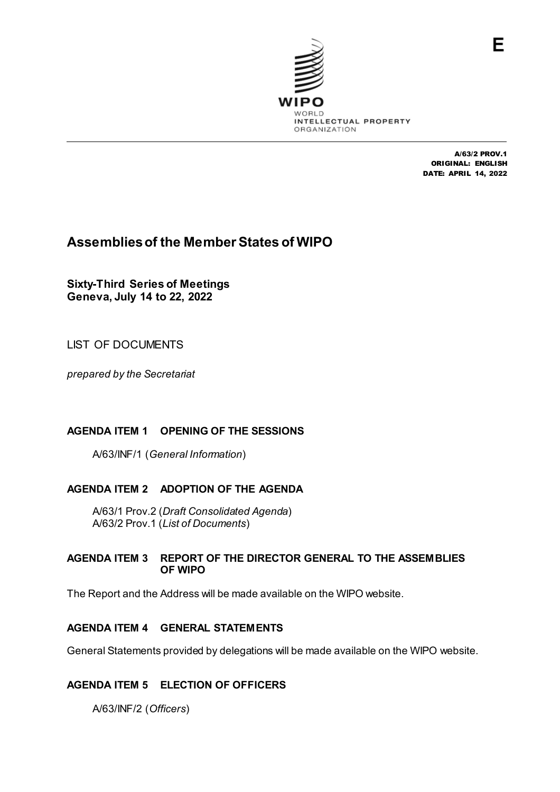

A/63/2 PROV.1 ORIGINAL: ENGLISH DATE: APRIL 14, 2022

# **Assemblies of the Member States of WIPO**

**Sixty-Third Series of Meetings Geneva, July 14 to 22, 2022**

LIST OF DOCUMENTS

*prepared by the Secretariat*

## **AGENDA ITEM 1 OPENING OF THE SESSIONS**

A/63/INF/1 (*General Information*)

## **AGENDA ITEM 2 ADOPTION OF THE AGENDA**

A/63/1 Prov.2 (*Draft Consolidated Agenda*) A/63/2 Prov.1 (*List of Documents*)

#### **AGENDA ITEM 3 REPORT OF THE DIRECTOR GENERAL TO THE ASSEMBLIES OF WIPO**

The Report and the Address will be made available on the WIPO website.

## **AGENDA ITEM 4 GENERAL STATEMENTS**

General Statements provided by delegations will be made available on the WIPO website.

## **AGENDA ITEM 5 ELECTION OF OFFICERS**

A/63/INF/2 (*Officers*)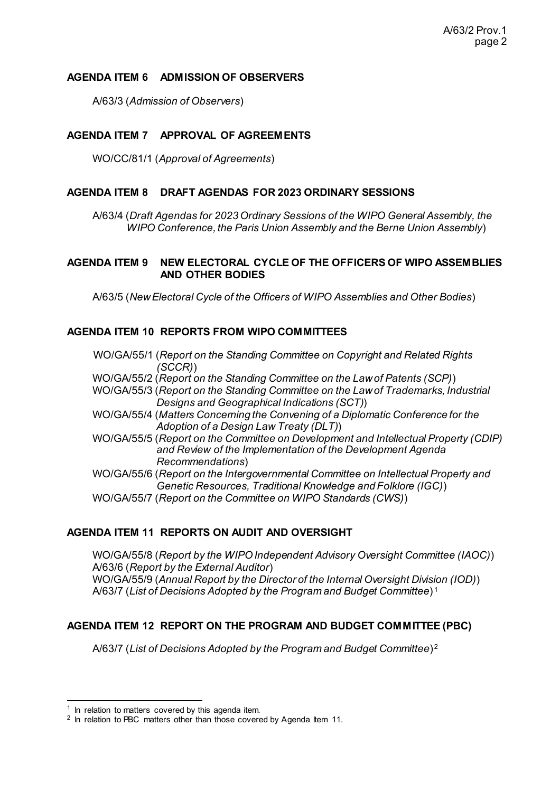#### **AGENDA ITEM 6 ADMISSION OF OBSERVERS**

A/63/3 (*Admission of Observers*)

#### **AGENDA ITEM 7 APPROVAL OF AGREEMENTS**

WO/CC/81/1 (*Approval of Agreements*)

#### **AGENDA ITEM 8 DRAFT AGENDAS FOR 2023 ORDINARY SESSIONS**

A/63/4 (*Draft Agendas for 2023 Ordinary Sessions of the WIPO General Assembly, the WIPO Conference, the Paris Union Assembly and the Berne Union Assembly*)

#### **AGENDA ITEM 9 NEW ELECTORAL CYCLE OF THE OFFICERS OF WIPO ASSEMBLIES AND OTHER BODIES**

A/63/5 (*New Electoral Cycle of the Officers of WIPO Assemblies and Other Bodies*)

#### **AGENDA ITEM 10 REPORTS FROM WIPO COMMITTEES**

- WO/GA/55/1 (*Report on the Standing Committee on Copyright and Related Rights (SCCR)*)
- WO/GA/55/2 (*Report on the Standing Committee on the Law of Patents (SCP)*)

WO/GA/55/3 (*Report on the Standing Committee on the Law of Trademarks, Industrial Designs and Geographical Indications (SCT)*)

- WO/GA/55/4 (*Matters Concerning the Convening of a Diplomatic Conference for the Adoption of a Design Law Treaty (DLT)*)
- WO/GA/55/5 (*Report on the Committee on Development and Intellectual Property (CDIP) and Review of the Implementation of the Development Agenda Recommendations*)

WO/GA/55/6 (*Report on the Intergovernmental Committee on Intellectual Property and Genetic Resources, Traditional Knowledge and Folklore (IGC)*) WO/GA/55/7 (*Report on the Committee on WIPO Standards (CWS)*)

#### **AGENDA ITEM 11 REPORTS ON AUDIT AND OVERSIGHT**

WO/GA/55/8 (*Report by the WIPO Independent Advisory Oversight Committee (IAOC)*) A/63/6 (*Report by the External Auditor*) WO/GA/55/9 (*Annual Report by the Director of the Internal Oversight Division (IOD)*) A/63/7 (*List of Decisions Adopted by the Program and Budget Committee*) [1](#page-1-0)

#### **AGENDA ITEM 12 REPORT ON THE PROGRAM AND BUDGET COMMITTEE (PBC)**

A/63/7 (*List of Decisions Adopted by the Program and Budget Committee*) [2](#page-1-1)

<span id="page-1-0"></span> $1$  In relation to matters covered by this agenda item.

<span id="page-1-1"></span> $2$  In relation to PBC matters other than those covered by Agenda Item 11.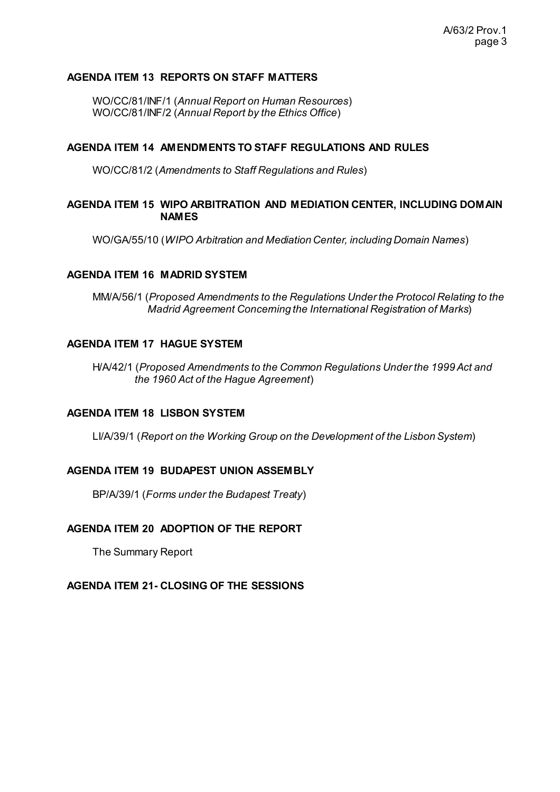#### **AGENDA ITEM 13 REPORTS ON STAFF MATTERS**

WO/CC/81/INF/1 (*Annual Report on Human Resources*) WO/CC/81/INF/2 (*Annual Report by the Ethics Office*)

#### **AGENDA ITEM 14 AMENDMENTS TO STAFF REGULATIONS AND RULES**

WO/CC/81/2 (*Amendments to Staff Regulations and Rules*)

#### **AGENDA ITEM 15 WIPO ARBITRATION AND MEDIATION CENTER, INCLUDING DOMAIN NAMES**

WO/GA/55/10 (*WIPO Arbitration and Mediation Center, including Domain Names*)

#### **AGENDA ITEM 16 MADRID SYSTEM**

MM/A/56/1 (*Proposed Amendments to the Regulations Under the Protocol Relating to the Madrid Agreement Concerning the International Registration of Marks*)

#### **AGENDA ITEM 17 HAGUE SYSTEM**

H/A/42/1 (*Proposed Amendments to the Common Regulations Under the 1999 Act and the 1960 Act of the Hague Agreement*)

#### **AGENDA ITEM 18 LISBON SYSTEM**

LI/A/39/1 (*Report on the Working Group on the Development of the Lisbon System*)

#### **AGENDA ITEM 19 BUDAPEST UNION ASSEMBLY**

BP/A/39/1 (*Forms under the Budapest Treaty*)

#### **AGENDA ITEM 20 ADOPTION OF THE REPORT**

The Summary Report

#### **AGENDA ITEM 21- CLOSING OF THE SESSIONS**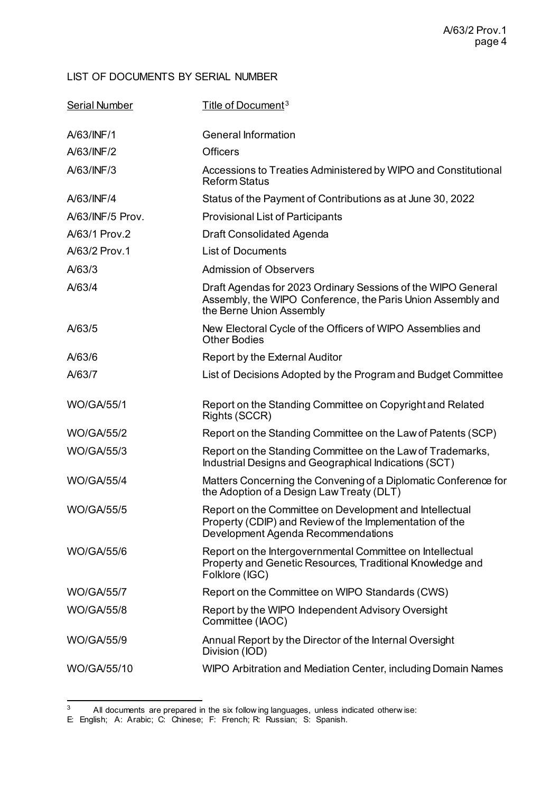## LIST OF DOCUMENTS BY SERIAL NUMBER

| <b>Serial Number</b> | Title of Document <sup>3</sup>                                                                                                                           |
|----------------------|----------------------------------------------------------------------------------------------------------------------------------------------------------|
| A/63/INF/1           | <b>General Information</b>                                                                                                                               |
| A/63/INF/2           | <b>Officers</b>                                                                                                                                          |
| A/63/INF/3           | Accessions to Treaties Administered by WIPO and Constitutional<br><b>Reform Status</b>                                                                   |
| A/63/INF/4           | Status of the Payment of Contributions as at June 30, 2022                                                                                               |
| A/63/INF/5 Prov.     | <b>Provisional List of Participants</b>                                                                                                                  |
| A/63/1 Prov.2        | Draft Consolidated Agenda                                                                                                                                |
| A/63/2 Prov.1        | <b>List of Documents</b>                                                                                                                                 |
| A/63/3               | <b>Admission of Observers</b>                                                                                                                            |
| A/63/4               | Draft Agendas for 2023 Ordinary Sessions of the WIPO General<br>Assembly, the WIPO Conference, the Paris Union Assembly and<br>the Berne Union Assembly  |
| A/63/5               | New Electoral Cycle of the Officers of WIPO Assemblies and<br><b>Other Bodies</b>                                                                        |
| A/63/6               | Report by the External Auditor                                                                                                                           |
| A/63/7               | List of Decisions Adopted by the Program and Budget Committee                                                                                            |
| <b>WO/GA/55/1</b>    | Report on the Standing Committee on Copyright and Related<br>Rights (SCCR)                                                                               |
| <b>WO/GA/55/2</b>    | Report on the Standing Committee on the Law of Patents (SCP)                                                                                             |
| <b>WO/GA/55/3</b>    | Report on the Standing Committee on the Law of Trademarks,<br>Industrial Designs and Geographical Indications (SCT)                                      |
| <b>WO/GA/55/4</b>    | Matters Concerning the Convening of a Diplomatic Conference for<br>the Adoption of a Design Law Treaty (DLT)                                             |
| <b>WO/GA/55/5</b>    | Report on the Committee on Development and Intellectual<br>Property (CDIP) and Review of the Implementation of the<br>Development Agenda Recommendations |
| <b>WO/GA/55/6</b>    | Report on the Intergovernmental Committee on Intellectual<br>Property and Genetic Resources, Traditional Knowledge and<br>Folklore (IGC)                 |
| <b>WO/GA/55/7</b>    | Report on the Committee on WIPO Standards (CWS)                                                                                                          |
| <b>WO/GA/55/8</b>    | Report by the WIPO Independent Advisory Oversight<br>Committee (IAOC)                                                                                    |
| <b>WO/GA/55/9</b>    | Annual Report by the Director of the Internal Oversight<br>Division (IOD)                                                                                |
| WO/GA/55/10          | WIPO Arbitration and Mediation Center, including Domain Names                                                                                            |

 $\frac{3}{3}$  All documents are prepared in the six follow ing languages, unless indicated otherw ise:

<span id="page-3-0"></span>E: English; A: Arabic; C: Chinese; F: French; R: Russian; S: Spanish.